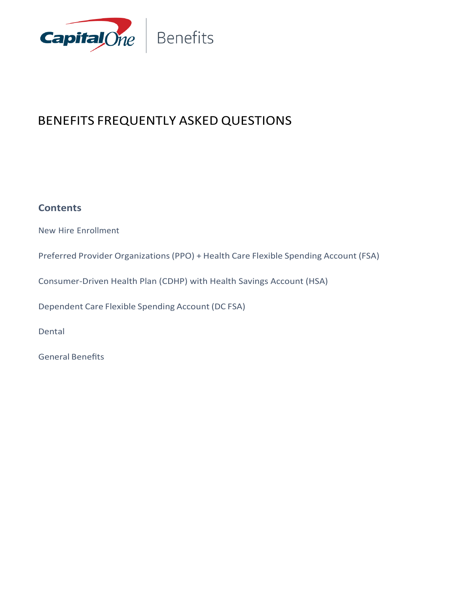

## BENEFITS FREQUENTLY ASKED QUESTIONS

#### **Contents**

New Hire Enrollment

Preferred Provider Organizations(PPO) + Health Care Flexible Spending Account (FSA)

Consumer-Driven Health Plan (CDHP) with Health Savings Account (HSA)

Dependent Care Flexible Spending Account (DC FSA)

Dental

General Benefits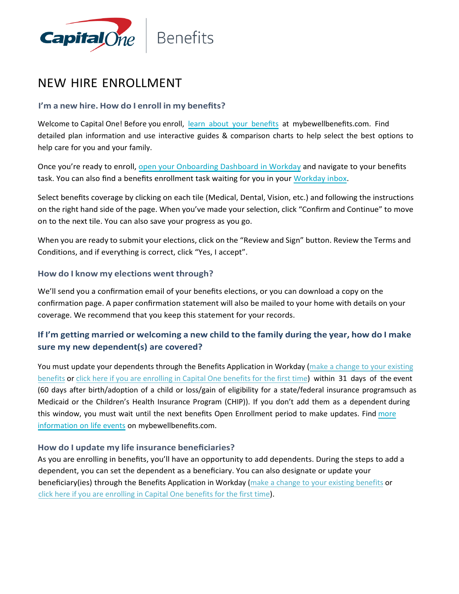

### NEW HIRE ENROLLMENT

#### **I'm a new hire. How do I enroll in my benefits?**

Welcome to Capital One! Before you enroll, learn about your [benefits](https://mybewellbenefits.com/) at mybewellbenefits.com. Find detailed plan information and use interactive guides & comparison charts to help select the best options to help care for you and your family.

Once you're ready to enroll, open your [Onboarding](https://www.myworkday.com/capitalone/d/unifiedinbox/initialinbox/2998$17139.htmld) Dashboard in Workday and navigate to your benefits task. You can also find a benefits enrollment task waiting for you in your [Workday](https://www.myworkday.com/capitalone/d/unifiedinbox/initialinbox/2998%2417139.htmld) inbox.

Select benefits coverage by clicking on each tile (Medical, Dental, Vision, etc.) and following the instructions on the right hand side of the page. When you've made your selection, click "Confirm and Continue" to move on to the next tile. You can also save your progress as you go.

When you are ready to submit your elections, click on the "Review and Sign" button. Review the Terms and Conditions, and if everything is correct, click "Yes, I accept".

#### **How do I know my elections went through?**

We'll send you a confirmation email of your benefits elections, or you can download a copy on the confirmation page. A paper confirmation statement will also be mailed to your home with details on your coverage. We recommend that you keep this statement for your records.

#### **If I'm getting married or welcoming a new child to the family during the year, how do I make sure my new dependent(s) are covered?**

You must update your dependents through the Benefits Application in Workday (make a change [to your existing](https://www.myworkday.com/capitalone/d/inst/13102!CK5mGhIKBggDEMenAhIICgYI1A0QvwM%7E*mBhE460HuUI%7E/cacheable-task/2997$2151.htmld) [benefits](https://www.myworkday.com/capitalone/d/inst/13102!CK5mGhIKBggDEMenAhIICgYI1A0QvwM%7E*mBhE460HuUI%7E/cacheable-task/2997$2151.htmld) or click here [if you are enrolling in Capital One benefits for the first](https://www.myworkday.com/capitalone/d/unifiedinbox/initialinbox/2998$17139.htmld) time) within 31 days of the event (60 days after birth/adoption of a child or loss/gain of eligibility for a state/federal insurance programsuch as Medicaid or the Children's Health Insurance Program (CHIP)). If you don't add them as a dependent during this window, you must wait until the next benefits Open Enrollment period to make updates. Find [more](https://mybewellbenefits.com/Life-Events) [information](https://mybewellbenefits.com/Life-Events) on life events on mybewellbenefits.com.

#### **How do I update my life insurance beneficiaries?**

As you are enrolling in benefits, you'll have an opportunity to add dependents. During the steps to add a dependent, you can set the dependent as a beneficiary. You can also designate or update your beneficiary(ies) through the Benefits Application in Workday [\(make a change to your](https://www.myworkday.com/capitalone/d/inst/13102!CK5mGhIKBggDEMenAhIICgYI1A0QvwM%7E*mBhE460HuUI%7E/cacheable-task/2997$2151.htmld) existing benefits or click here [if you are enrolling in Capital One benefits for the first](https://www.myworkday.com/capitalone/d/unifiedinbox/initialinbox/2998$17139.htmld) time).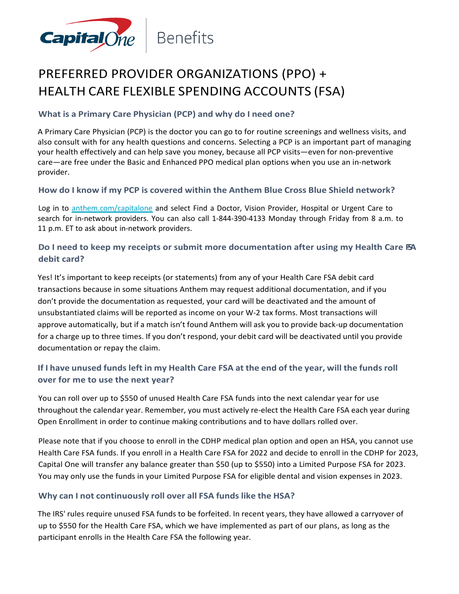

## PREFERRED PROVIDER ORGANIZATIONS (PPO) + HEALTH CARE FLEXIBLE SPENDING ACCOUNTS (FSA)

#### **What is a Primary Care Physician (PCP) and why do I need one?**

A Primary Care Physician (PCP) is the doctor you can go to for routine screenings and wellness visits, and also consult with for any health questions and concerns. Selecting a PCP is an important part of managing your health effectively and can help save you money, because all PCP visits—even for non-preventive care—are free under the Basic and Enhanced PPO medical plan options when you use an in-network provider.

#### **How do I know if my PCP is covered within the Anthem Blue Cross Blue Shield network?**

Log in to [anthem.com/capitalone](http://www.anthem.com/capitalone) and select Find a Doctor, Vision Provider, Hospital or Urgent Care to search for in-network providers. You can also call 1-844-390-4133 Monday through Friday from 8 a.m. to 11 p.m. ET to ask about in-network providers.

#### **Do I need to keep my receipts or submit more documentation after using my Health Care FSA debit card?**

Yes! It's important to keep receipts (or statements) from any of your Health Care FSA debit card transactions because in some situations Anthem may request additional documentation, and if you don't provide the documentation as requested, your card will be deactivated and the amount of unsubstantiated claims will be reported as income on your W-2 tax forms. Most transactions will approve automatically, but if a match isn't found Anthem will ask you to provide back-up documentation for a charge up to three times. If you don't respond, your debit card will be deactivated until you provide documentation or repay the claim.

#### If I have unused funds left in my Health Care FSA at the end of the year, will the funds roll **over for me to use the next year?**

You can roll over up to \$550 of unused Health Care FSA funds into the next calendar year for use throughout the calendar year. Remember, you must actively re-elect the Health Care FSA each year during Open Enrollment in order to continue making contributions and to have dollars rolled over.

Please note that if you choose to enroll in the CDHP medical plan option and open an HSA, you cannot use Health Care FSA funds. If you enroll in a Health Care FSA for 2022 and decide to enroll in the CDHP for 2023, Capital One will transfer any balance greater than \$50 (up to \$550) into a Limited Purpose FSA for 2023. You may only use the funds in your Limited Purpose FSA for eligible dental and vision expenses in 2023.

#### **Why can I not continuously roll over all FSA funds like the HSA?**

The IRS' rules require unused FSA funds to be forfeited. In recent years, they have allowed a carryover of up to \$550 for the Health Care FSA, which we have implemented as part of our plans, as long as the participant enrolls in the Health Care FSA the following year.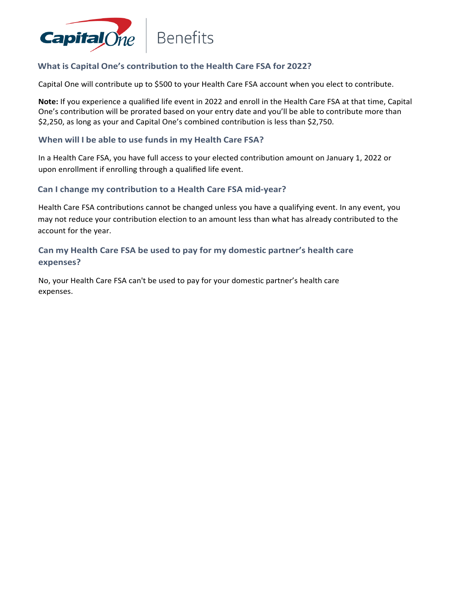

#### **What is Capital One's contribution to the Health Care FSA for 2022?**

Capital One will contribute up to \$500 to your Health Care FSA account when you elect to contribute.

**Note:** If you experience a qualified life event in 2022 and enroll in the Health Care FSA at that time, Capital One's contribution will be prorated based on your entry date and you'll be able to contribute more than \$2,250, as long as your and Capital One's combined contribution is less than \$2,750.

#### **When will I be able to use funds in my Health Care FSA?**

In a Health Care FSA, you have full access to your elected contribution amount on January 1, 2022 or upon enrollment if enrolling through a qualified life event.

#### **Can I change my contribution to a Health Care FSA mid-year?**

Health Care FSA contributions cannot be changed unless you have a qualifying event. In any event, you may not reduce your contribution election to an amount less than what has already contributed to the account for the year.

#### **Can my Health Care FSA be used to pay for my domestic partner's health care expenses?**

No, your Health Care FSA can't be used to pay for your domestic partner's health care expenses.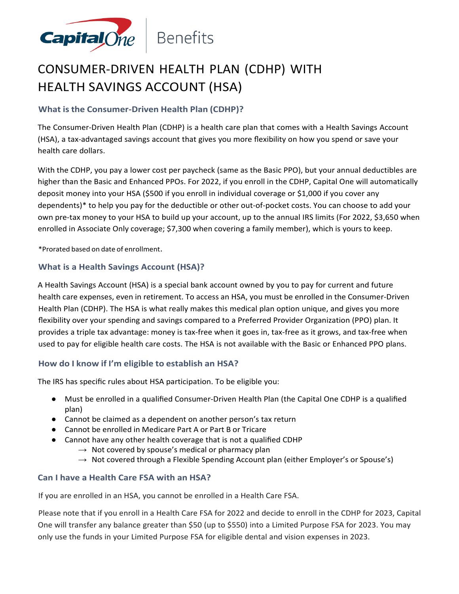

## CONSUMER-DRIVEN HEALTH PLAN (CDHP) WITH HEALTH SAVINGS ACCOUNT (HSA)

#### **What is the Consumer-Driven Health Plan (CDHP)?**

The Consumer-Driven Health Plan (CDHP) is a health care plan that comes with a Health Savings Account (HSA), a tax-advantaged savings account that gives you more flexibility on how you spend or save your health care dollars.

With the CDHP, you pay a lower cost per paycheck (same as the Basic PPO), but your annual deductibles are higher than the Basic and Enhanced PPOs. For 2022, if you enroll in the CDHP, Capital One will automatically deposit money into your HSA (\$500 if you enroll in individual coverage or \$1,000 if you cover any dependents)\* to help you pay for the deductible or other out-of-pocket costs. You can choose to add your own pre-tax money to your HSA to build up your account, up to the annual IRS limits (For 2022, \$3,650 when enrolled in Associate Only coverage; \$7,300 when covering a family member), which is yours to keep.

\*Prorated based on date of enrollment.

#### **What is a Health Savings Account (HSA)?**

A Health Savings Account (HSA) is a special bank account owned by you to pay for current and future health care expenses, even in retirement. To access an HSA, you must be enrolled in the Consumer-Driven Health Plan (CDHP). The HSA is what really makes this medical plan option unique, and gives you more flexibility over your spending and savings compared to a Preferred Provider Organization (PPO) plan. It provides a triple tax advantage: money is tax-free when it goes in, tax-free as it grows, and tax-free when used to pay for eligible health care costs. The HSA is not available with the Basic or Enhanced PPO plans.

#### **How do I know if I'm eligible to establish an HSA?**

The IRS has specific rules about HSA participation. To be eligible you:

- Must be enrolled in a qualified Consumer-Driven Health Plan (the Capital One CDHP is a qualified plan)
- Cannot be claimed as a dependent on another person's tax return
- Cannot be enrolled in Medicare Part A or Part B or Tricare
- Cannot have any other health coverage that is not a qualified CDHP
	- $\rightarrow$  Not covered by spouse's medical or pharmacy plan
	- $\rightarrow$  Not covered through a Flexible Spending Account plan (either Employer's or Spouse's)

#### **Can I have a Health Care FSA with an HSA?**

If you are enrolled in an HSA, you cannot be enrolled in a Health Care FSA.

Please note that if you enroll in a Health Care FSA for 2022 and decide to enroll in the CDHP for 2023, Capital One will transfer any balance greater than \$50 (up to \$550) into a Limited Purpose FSA for 2023. You may only use the funds in your Limited Purpose FSA for eligible dental and vision expenses in 2023.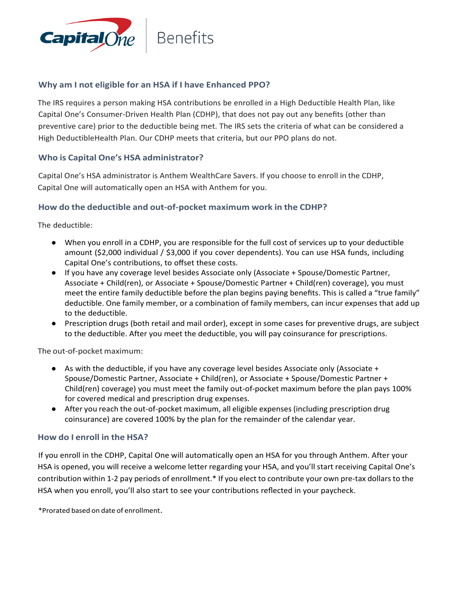

#### **Why am I not eligible for an HSA if I have Enhanced PPO?**

The IRS requires a person making HSA contributions be enrolled in a High Deductible Health Plan, like Capital One's Consumer-Driven Health Plan (CDHP), that does not pay out any benefits (other than preventive care) prior to the deductible being met. The IRS sets the criteria of what can be considered a High DeductibleHealth Plan. Our CDHP meets that criteria, but our PPO plans do not.

#### **Who is Capital One's HSA administrator?**

Capital One's HSA administrator is Anthem WealthCare Savers. If you choose to enroll in the CDHP, Capital One will automatically open an HSA with Anthem for you.

#### **How do the deductible and out-of-pocket maximum work in the CDHP?**

The deductible:

- When you enroll in a CDHP, you are responsible for the full cost of services up to your deductible amount (\$2,000 individual / \$3,000 if you cover dependents). You can use HSA funds, including Capital One's contributions, to offset these costs.
- If you have any coverage level besides Associate only (Associate + Spouse/Domestic Partner, Associate + Child(ren), or Associate + Spouse/Domestic Partner + Child(ren) coverage), you must meet the entire family deductible before the plan begins paying benefits. This is called a "true family" deductible. One family member, or a combination of family members, can incur expenses that add up to the deductible.
- Prescription drugs (both retail and mail order), except in some cases for preventive drugs, are subject to the deductible. After you meet the deductible, you will pay coinsurance for prescriptions.

The out-of-pocket maximum:

- As with the deductible, if you have any coverage level besides Associate only (Associate + Spouse/Domestic Partner, Associate + Child(ren), or Associate + Spouse/Domestic Partner + Child(ren) coverage) you must meet the family out-of-pocket maximum before the plan pays 100% for covered medical and prescription drug expenses.
- After you reach the out-of-pocket maximum, all eligible expenses (including prescription drug coinsurance) are covered 100% by the plan for the remainder of the calendar year.

#### **How do I enroll in the HSA?**

If you enroll in the CDHP, Capital One will automatically open an HSA for you through Anthem. After your HSA is opened, you will receive a welcome letter regarding your HSA, and you'll start receiving Capital One's contribution within 1-2 pay periods of enrollment.\* If you elect to contribute your own pre-tax dollars to the HSA when you enroll, you'll also start to see your contributions reflected in your paycheck.

\*Prorated based on date of enrollment.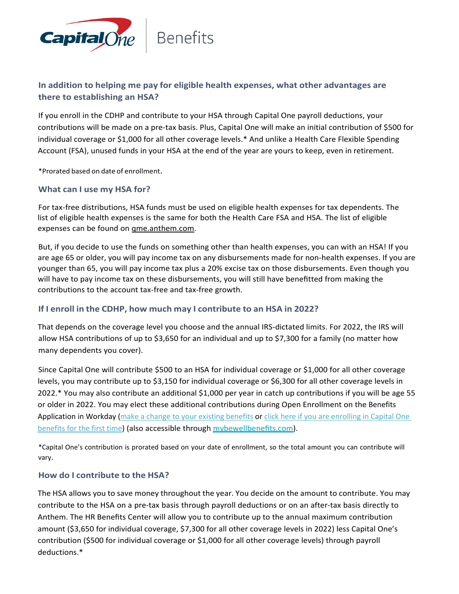

#### **In addition to helping me pay for eligible health expenses, what other advantages are there to establishing an HSA?**

If you enroll in the CDHP and contribute to your HSA through Capital One payroll deductions, your contributions will be made on a pre-tax basis. Plus, Capital One will make an initial contribution of \$500 for individual coverage or \$1,000 for all other coverage levels.\* And unlike a Health Care Flexible Spending Account (FSA), unused funds in your HSA at the end of the year are yours to keep, even in retirement.

\*Prorated based on date of enrollment.

#### **What can I use my HSA for?**

For tax-free distributions, HSA funds must be used on eligible health expenses for tax dependents. The list of eligible health expenses is the same for both the Health Care FSA and HSA. The list of eligible expenses can be found on **gme.anthem.com.** 

But, if you decide to use the funds on something other than health expenses, you can with an HSA! If you are age 65 or older, you will pay income tax on any disbursements made for non-health expenses. If you are younger than 65, you will pay income tax plus a 20% excise tax on those disbursements. Even though you will have to pay income tax on these disbursements, you will still have benefitted from making the contributions to the account tax-free and tax-free growth.

#### **If I enroll in the CDHP, how much may I contribute to an HSA in 2022?**

That depends on the coverage level you choose and the annual IRS-dictated limits. For 2022, the IRS will allow HSA contributions of up to \$3,650 for an individual and up to \$7,300 for a family (no matter how many dependents you cover).

Since Capital One will contribute \$500 to an HSA for individual coverage or \$1,000 for all other coverage levels, you may contribute up to \$3,150 for individual coverage or \$6,300 for all other coverage levels in 2022.\* You may also contribute an additional \$1,000 per year in catch up contributions if you will be age 55 or older in 2022. You may elect these additional contributions during Open Enrollment on the Benefits Application in Workday [\(make a change to your existing benefits](https://www.myworkday.com/capitalone/d/inst/13102!CK5mGhIKBggDEMenAhIICgYI1A0QvwM%7E*mBhE460HuUI%7E/cacheable-task/2997$2151.htmld) or click here if you are enrolling in Capital One [benefits for the first time\)](https://www.myworkday.com/capitalone/d/unifiedinbox/initialinbox/2998$17139.htmld) (also accessible through [mybewellbenefits.com\)](https://mybewellbenefits.com/).

\*Capital One's contribution is prorated based on your date of enrollment, so the total amount you can contribute will vary.

#### **How do I contribute to the HSA?**

The HSA allows you to save money throughout the year. You decide on the amount to contribute. You may contribute to the HSA on a pre-tax basis through payroll deductions or on an after-tax basis directly to Anthem. The HR Benefits Center will allow you to contribute up to the annual maximum contribution amount (\$3,650 for individual coverage, \$7,300 for all other coverage levels in 2022) less Capital One's contribution (\$500 for individual coverage or \$1,000 for all other coverage levels) through payroll deductions.\*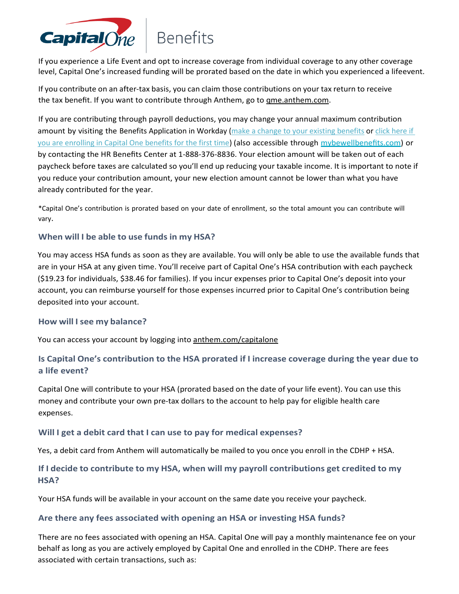

If you experience a Life Event and opt to increase coverage from individual coverage to any other coverage level, Capital One's increased funding will be prorated based on the date in which you experienced a lifeevent.

If you contribute on an after-tax basis, you can claim those contributions on your tax return to receive the tax benefit. If you want to contribute through Anthem, go to gme.anthem.com.

If you are contributing through payroll deductions, you may change your annual maximum contribution amount by visiting the Benefits Application in Workday [\(make a change to your existing benefits](https://www.myworkday.com/capitalone/d/inst/13102!CK5mGhIKBggDEMenAhIICgYI1A0QvwM%7E*mBhE460HuUI%7E/cacheable-task/2997$2151.htmld) or click here if [you are enrolling in Capital One benefits for the first time\)](https://www.myworkday.com/capitalone/d/unifiedinbox/initialinbox/2998$17139.htmld) (also accessible through [mybewellbenefits.com](https://mybewellbenefits.com/)) or by contacting the HR Benefits Center at 1-888-376-8836. Your election amount will be taken out of each paycheck before taxes are calculated so you'll end up reducing your taxable income. It is important to note if you reduce your contribution amount, your new election amount cannot be lower than what you have already contributed for the year.

\*Capital One's contribution is prorated based on your date of enrollment, so the total amount you can contribute will vary.

#### **When will I be able to use funds in my HSA?**

You may access HSA funds as soon as they are available. You will only be able to use the available funds that are in your HSA at any given time. You'll receive part of Capital One's HSA contribution with each paycheck (\$19.23 for individuals, \$38.46 for families). If you incur expenses prior to Capital One's deposit into your account, you can reimburse yourself for those expenses incurred prior to Capital One's contribution being deposited into your account.

#### **How will Isee my balance?**

You can access your account by logging into anthem.com/capitalone

#### **Is Capital One's contribution to the HSA prorated if I increase coverage during the year due to a life event?**

Capital One will contribute to your HSA (prorated based on the date of your life event). You can use this money and contribute your own pre-tax dollars to the account to help pay for eligible health care expenses.

#### **Will I get a debit card that I can use to pay for medical expenses?**

Yes, a debit card from Anthem will automatically be mailed to you once you enroll in the CDHP + HSA.

#### **If I decide to contribute to my HSA, when will my payroll contributions get credited to my HSA?**

Your HSA funds will be available in your account on the same date you receive your paycheck.

#### **Are there any fees associated with opening an HSA or investing HSA funds?**

There are no fees associated with opening an HSA. Capital One will pay a monthly maintenance fee on your behalf as long as you are actively employed by Capital One and enrolled in the CDHP. There are fees associated with certain transactions, such as: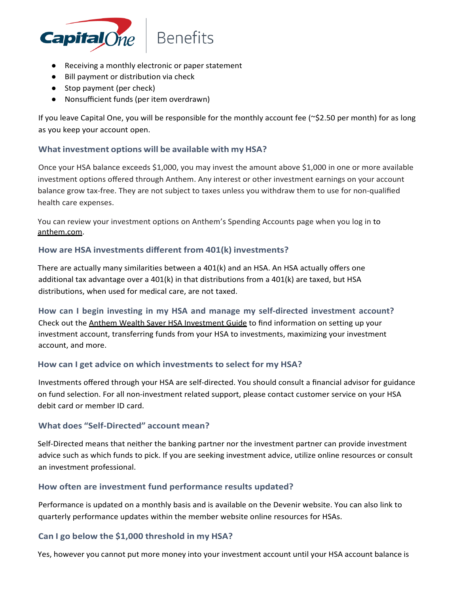

- Receiving a monthly electronic or paper statement
- Bill payment or distribution via check
- Stop payment (per check)
- Nonsufficient funds (per item overdrawn)

If you leave Capital One, you will be responsible for the monthly account fee (~\$2.50 per month) for as long as you keep your account open.

#### **What investment options will be available with my HSA?**

Once your HSA balance exceeds \$1,000, you may invest the amount above \$1,000 in one or more available investment options offered through Anthem. Any interest or other investment earnings on your account balance grow tax-free. They are not subject to taxes unless you withdraw them to use for non-qualified health care expenses.

You can review your investment options on Anthem's Spending Accounts page when you log in to anthem.com.

#### **How are HSA investments different from 401(k) investments?**

There are actually many similarities between a 401(k) and an HSA. An HSA actually offers one additional tax advantage over a 401(k) in that distributions from a 401(k) are taxed, but HSA distributions, when used for medical care, are not taxed.

**How can I begin investing in my HSA and manage my self-directed investment account?** Check out the Anthem Wealth Saver HSA Investment Guide to find information on setting up your investment account, transferring funds from your HSA to investments, maximizing your investment account, and more.

#### **How can I get advice on which investments to select for my HSA?**

Investments offered through your HSA are self-directed. You should consult a financial advisor for guidance on fund selection. For all non-investment related support, please contact customer service on your HSA debit card or member ID card.

#### **What does "Self-Directed" account mean?**

Self-Directed means that neither the banking partner nor the investment partner can provide investment advice such as which funds to pick. If you are seeking investment advice, utilize online resources or consult an investment professional.

#### **How often are investment fund performance results updated?**

Performance is updated on a monthly basis and is available on the Devenir website. You can also link to quarterly performance updates within the member website online resources for HSAs.

#### **Can I go below the \$1,000 threshold in my HSA?**

Yes, however you cannot put more money into your investment account until your HSA account balance is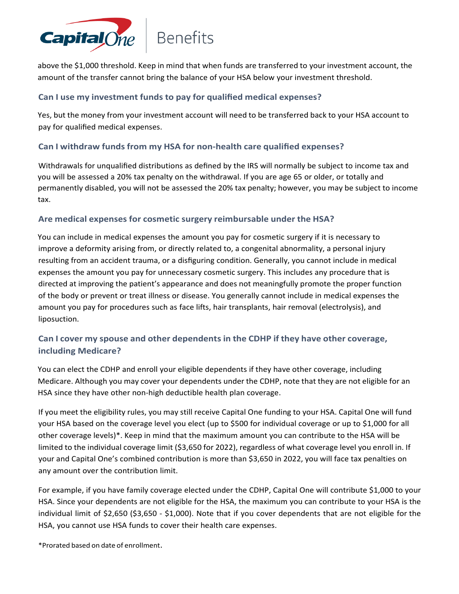

above the \$1,000 threshold. Keep in mind that when funds are transferred to your investment account, the amount of the transfer cannot bring the balance of your HSA below your investment threshold.

#### **Can I use my investment funds to pay for qualified medical expenses?**

Yes, but the money from your investment account will need to be transferred back to your HSA account to pay for qualified medical expenses.

#### **Can I withdraw funds from my HSA for non-health care qualified expenses?**

Withdrawals for unqualified distributions as defined by the IRS will normally be subject to income tax and you will be assessed a 20% tax penalty on the withdrawal. If you are age 65 or older, or totally and permanently disabled, you will not be assessed the 20% tax penalty; however, you may be subject to income tax.

#### **Are medical expenses for cosmetic surgery reimbursable under the HSA?**

You can include in medical expenses the amount you pay for cosmetic surgery if it is necessary to improve a deformity arising from, or directly related to, a congenital abnormality, a personal injury resulting from an accident trauma, or a disfiguring condition. Generally, you cannot include in medical expenses the amount you pay for unnecessary cosmetic surgery. This includes any procedure that is directed at improving the patient's appearance and does not meaningfully promote the proper function of the body or prevent or treat illness or disease. You generally cannot include in medical expenses the amount you pay for procedures such as face lifts, hair transplants, hair removal (electrolysis), and liposuction.

#### **Can I cover my spouse and other dependents in the CDHP if they have other coverage, including Medicare?**

You can elect the CDHP and enroll your eligible dependents if they have other coverage, including Medicare. Although you may cover your dependents under the CDHP, note that they are not eligible for an HSA since they have other non-high deductible health plan coverage.

If you meet the eligibility rules, you may still receive Capital One funding to your HSA. Capital One will fund your HSA based on the coverage level you elect (up to \$500 for individual coverage or up to \$1,000 for all other coverage levels)\*. Keep in mind that the maximum amount you can contribute to the HSA will be limited to the individual coverage limit (\$3,650 for 2022), regardless of what coverage level you enroll in. If your and Capital One's combined contribution is more than \$3,650 in 2022, you will face tax penalties on any amount over the contribution limit.

For example, if you have family coverage elected under the CDHP, Capital One will contribute \$1,000 to your HSA. Since your dependents are not eligible for the HSA, the maximum you can contribute to your HSA is the individual limit of \$2,650 (\$3,650 - \$1,000). Note that if you cover dependents that are not eligible for the HSA, you cannot use HSA funds to cover their health care expenses.

\*Prorated based on date of enrollment.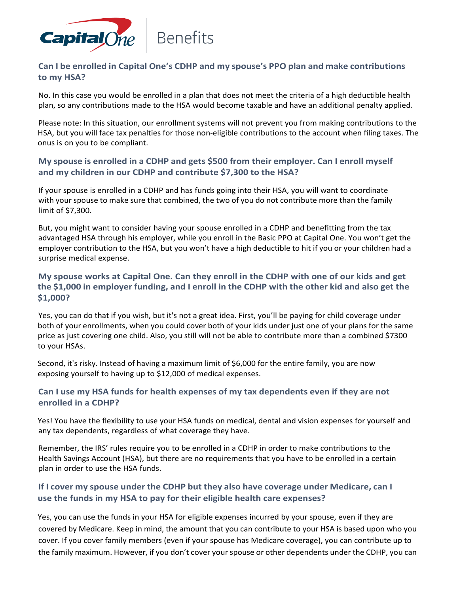

#### **Can I be enrolled in Capital One's CDHP and my spouse's PPO plan and make contributions to my HSA?**

No. In this case you would be enrolled in a plan that does not meet the criteria of a high deductible health plan, so any contributions made to the HSA would become taxable and have an additional penalty applied.

Please note: In this situation, our enrollment systems will not prevent you from making contributions to the HSA, but you will face tax penalties for those non-eligible contributions to the account when filing taxes. The onus is on you to be compliant.

#### **My spouse is enrolled in a CDHP and gets \$500 from their employer. Can I enroll myself and my children in our CDHP and contribute \$7,300 to the HSA?**

If your spouse is enrolled in a CDHP and has funds going into their HSA, you will want to coordinate with your spouse to make sure that combined, the two of you do not contribute more than the family limit of \$7,300.

But, you might want to consider having your spouse enrolled in a CDHP and benefitting from the tax advantaged HSA through his employer, while you enroll in the Basic PPO at Capital One. You won't get the employer contribution to the HSA, but you won't have a high deductible to hit if you or your children had a surprise medical expense.

#### **My spouse works at Capital One. Can they enroll in the CDHP with one of our kids and get** the \$1,000 in employer funding, and I enroll in the CDHP with the other kid and also get the **\$1,000?**

Yes, you can do that if you wish, but it's not a great idea. First, you'll be paying for child coverage under both of your enrollments, when you could cover both of your kids under just one of your plans for the same price as just covering one child. Also, you still will not be able to contribute more than a combined \$7300 to your HSAs.

Second, it's risky. Instead of having a maximum limit of \$6,000 for the entire family, you are now exposing yourself to having up to \$12,000 of medical expenses.

#### **Can I use my HSA funds for health expenses of my tax dependents even if they are not enrolled in a CDHP?**

Yes! You have the flexibility to use your HSA funds on medical, dental and vision expenses for yourself and any tax dependents, regardless of what coverage they have.

Remember, the IRS' rules require you to be enrolled in a CDHP in order to make contributions to the Health Savings Account (HSA), but there are no requirements that you have to be enrolled in a certain plan in order to use the HSA funds.

#### **If I cover my spouse under the CDHP but they also have coverage under Medicare, can I use the funds in my HSA to pay for their eligible health care expenses?**

Yes, you can use the funds in your HSA for eligible expenses incurred by your spouse, even if they are covered by Medicare. Keep in mind, the amount that you can contribute to your HSA is based upon who you cover. If you cover family members (even if your spouse has Medicare coverage), you can contribute up to the family maximum. However, if you don't cover yourspouse or other dependents under the CDHP, you can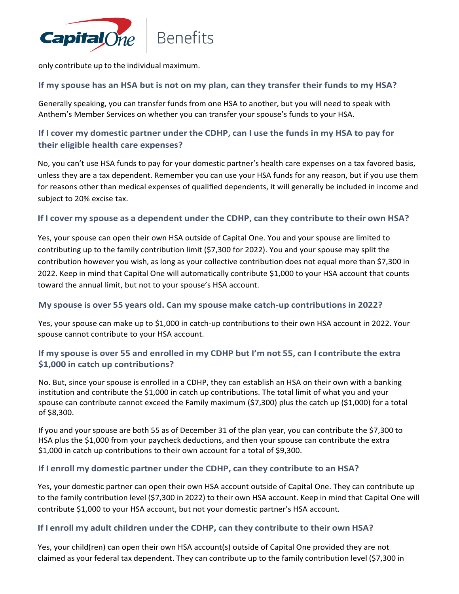

only contribute up to the individual maximum.

#### If my spouse has an HSA but is not on my plan, can they transfer their funds to my HSA?

Generally speaking, you can transfer funds from one HSA to another, but you will need to speak with Anthem's Member Services on whether you can transfer your spouse's funds to your HSA.

#### If I cover my domestic partner under the CDHP, can I use the funds in my HSA to pay for **their eligible health care expenses?**

No, you can't use HSA funds to pay for your domestic partner's health care expenses on a tax favored basis, unless they are a tax dependent. Remember you can use your HSA funds for any reason, but if you use them for reasons other than medical expenses of qualified dependents, it will generally be included in income and subject to 20% excise tax.

#### **If I cover my spouse as a dependent under the CDHP, can they contribute to their own HSA?**

Yes, your spouse can open their own HSA outside of Capital One. You and your spouse are limited to contributing up to the family contribution limit (\$7,300 for 2022). You and your spouse may split the contribution however you wish, as long as your collective contribution does not equal more than \$7,300 in 2022. Keep in mind that Capital One will automatically contribute \$1,000 to your HSA account that counts toward the annual limit, but not to your spouse's HSA account.

#### **My spouse is over 55 years old. Can my spouse make catch-up contributions in 2022?**

Yes, your spouse can make up to \$1,000 in catch-up contributions to their own HSA account in 2022. Your spouse cannot contribute to your HSA account.

#### If my spouse is over 55 and enrolled in my CDHP but I'm not 55, can I contribute the extra **\$1,000 in catch up contributions?**

No. But, since your spouse is enrolled in a CDHP, they can establish an HSA on their own with a banking institution and contribute the \$1,000 in catch up contributions. The total limit of what you and your spouse can contribute cannot exceed the Family maximum (\$7,300) plus the catch up (\$1,000) for a total of \$8,300.

If you and your spouse are both 55 as of December 31 of the plan year, you can contribute the \$7,300 to HSA plus the \$1,000 from your paycheck deductions, and then your spouse can contribute the extra \$1,000 in catch up contributions to their own account for a total of \$9,300.

#### **If I enroll my domestic partner under the CDHP, can they contribute to an HSA?**

Yes, your domestic partner can open their own HSA account outside of Capital One. They can contribute up to the family contribution level (\$7,300 in 2022) to their own HSA account. Keep in mind that Capital One will contribute \$1,000 to your HSA account, but not your domestic partner's HSA account.

#### **If I enroll my adult children under the CDHP, can they contribute to their own HSA?**

Yes, your child(ren) can open their own HSA account(s) outside of Capital One provided they are not claimed as your federal tax dependent. They can contribute up to the family contribution level (\$7,300 in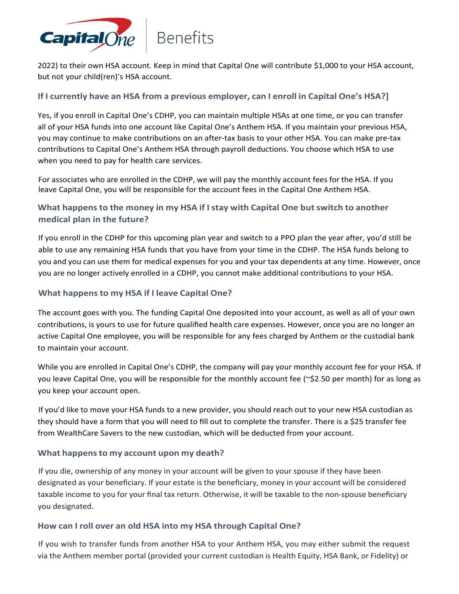

2022) to their own HSA account. Keep in mind that Capital One will contribute \$1,000 to your HSA account, but not your child(ren)'s HSA account.

#### **If I currently have an HSA from a previous employer, can I enroll in Capital One's HSA?]**

Yes, if you enroll in Capital One's CDHP, you can maintain multiple HSAs at one time, or you can transfer all of your HSA funds into one account like Capital One's Anthem HSA. If you maintain your previous HSA, you may continue to make contributions on an after-tax basis to your other HSA. You can make pre-tax contributions to Capital One's Anthem HSA through payroll deductions. You choose which HSA to use when you need to pay for health care services.

For associates who are enrolled in the CDHP, we will pay the monthly account fees for the HSA. If you leave Capital One, you will be responsible for the account fees in the Capital One Anthem HSA.

#### **What happens to the money in my HSA if Istay with Capital One but switch to another medical plan in the future?**

If you enroll in the CDHP for this upcoming plan year and switch to a PPO plan the year after, you'd still be able to use any remaining HSA funds that you have from your time in the CDHP. The HSA funds belong to you and you can use them for medical expenses for you and your tax dependents at any time. However, once you are no longer actively enrolled in a CDHP, you cannot make additional contributions to your HSA.

#### **What happens to my HSA if I leave Capital One?**

The account goes with you. The funding Capital One deposited into your account, as well as all of your own contributions, is yours to use for future qualified health care expenses. However, once you are no longer an active Capital One employee, you will be responsible for any fees charged by Anthem or the custodial bank to maintain your account.

While you are enrolled in Capital One's CDHP, the company will pay your monthly account fee for your HSA. If you leave Capital One, you will be responsible for the monthly account fee (~\$2.50 per month) for as long as you keep your account open.

If you'd like to move your HSA funds to a new provider, you should reach out to your new HSA custodian as they should have a form that you will need to fill out to complete the transfer. There is a \$25 transfer fee from WealthCare Savers to the new custodian, which will be deducted from your account.

#### **What happensto my account upon my death?**

If you die, ownership of any money in your account will be given to your spouse if they have been designated as your beneficiary. If your estate is the beneficiary, money in your account will be considered taxable income to you for your final tax return. Otherwise, it will be taxable to the non-spouse beneficiary you designated.

#### **How can I roll over an old HSA into my HSA through Capital One?**

If you wish to transfer funds from another HSA to your Anthem HSA, you may either submit the request via the Anthem member portal (provided your current custodian is Health Equity, HSA Bank, or Fidelity) or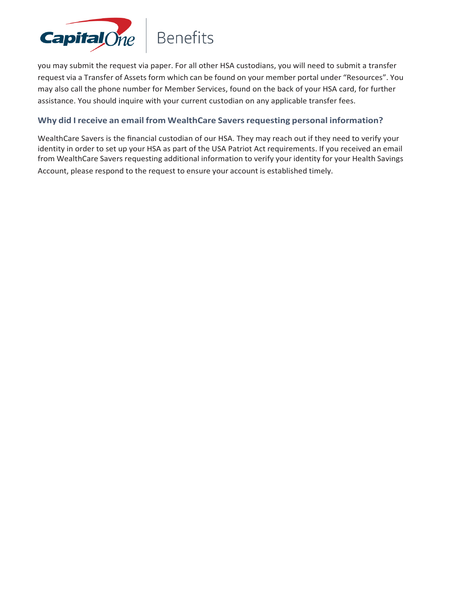

you may submit the request via paper. For all other HSA custodians, you will need to submit a transfer request via a Transfer of Assets form which can be found on your member portal under "Resources". You may also call the phone number for Member Services, found on the back of your HSA card, for further assistance. You should inquire with your current custodian on any applicable transfer fees.

#### **Why did I receive an email from WealthCare Saversrequesting personal information?**

WealthCare Savers is the financial custodian of our HSA. They may reach out if they need to verify your identity in order to set up your HSA as part of the USA Patriot Act requirements. If you received an email from WealthCare Savers requesting additional information to verify your identity for your Health Savings Account, please respond to the request to ensure your account is established timely.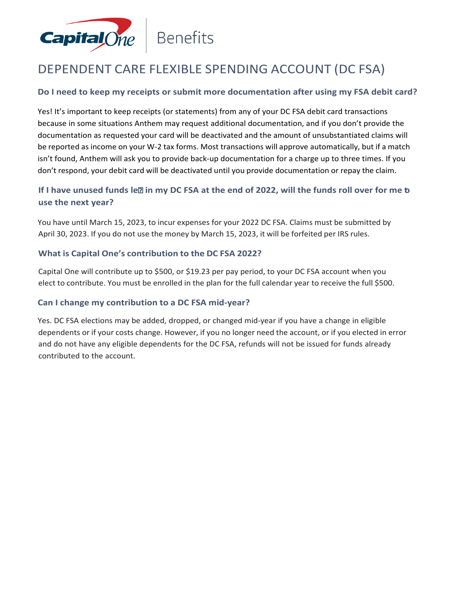

## DEPENDENT CARE FLEXIBLE SPENDING ACCOUNT (DC FSA)

#### **Do I need to keep my receipts or submit more documentation after using my FSA debit card?**

Yes! It's important to keep receipts (or statements) from any of your DC FSA debit card transactions because in some situations Anthem may request additional documentation, and if you don't provide the documentation as requested your card will be deactivated and the amount of unsubstantiated claims will be reported as income on your W-2 tax forms. Most transactions will approve automatically, but if a match isn't found, Anthem will ask you to provide back-up documentation for a charge up to three times. If you don't respond, your debit card will be deactivated until you provide documentation or repay the claim.

#### If I have unused funds leal in my DC FSA at the end of 2022, will the funds roll over for me b **use the next year?**

You have until March 15, 2023, to incur expenses for your 2022 DC FSA. Claims must be submitted by April 30, 2023. If you do not use the money by March 15, 2023, it will be forfeited per IRS rules.

#### **What is Capital One's contribution to the DC FSA 2022?**

Capital One will contribute up to \$500, or \$19.23 per pay period, to your DC FSA account when you elect to contribute. You must be enrolled in the plan for the full calendar year to receive the full \$500.

#### **Can I change my contribution to a DC FSA mid-year?**

Yes. DC FSA elections may be added, dropped, or changed mid-year if you have a change in eligible dependents or if your costs change. However, if you no longer need the account, or if you elected in error and do not have any eligible dependents for the DC FSA, refunds will not be issued for funds already contributed to the account.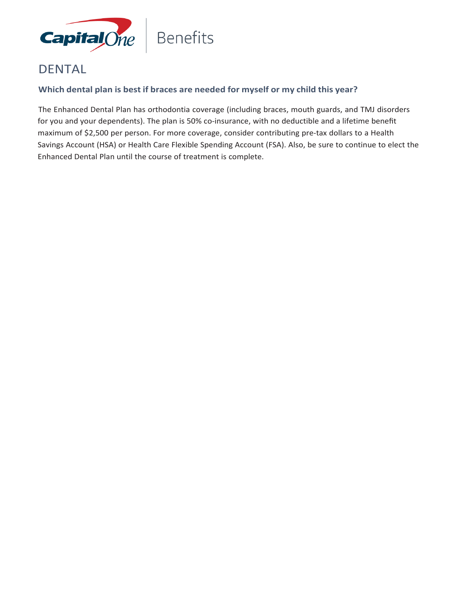

### DENTAL

#### **Which dental plan is best if braces are needed for myself or my child this year?**

The Enhanced Dental Plan has orthodontia coverage (including braces, mouth guards, and TMJ disorders for you and your dependents). The plan is 50% co-insurance, with no deductible and a lifetime benefit maximum of \$2,500 per person. For more coverage, consider contributing pre-tax dollars to a Health Savings Account (HSA) or Health Care Flexible Spending Account (FSA). Also, be sure to continue to elect the Enhanced Dental Plan until the course of treatment is complete.